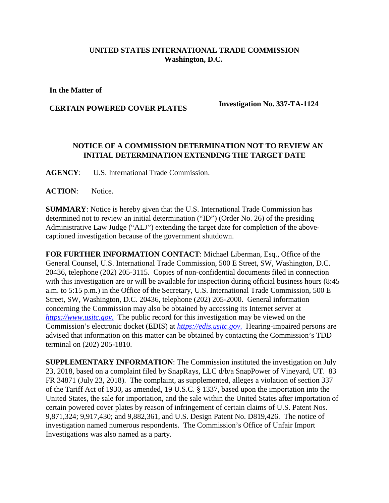## **UNITED STATES INTERNATIONAL TRADE COMMISSION Washington, D.C.**

**In the Matter of**

**CERTAIN POWERED COVER PLATES**

**Investigation No. 337-TA-1124**

## **NOTICE OF A COMMISSION DETERMINATION NOT TO REVIEW AN INITIAL DETERMINATION EXTENDING THE TARGET DATE**

**AGENCY**: U.S. International Trade Commission.

**ACTION**: Notice.

**SUMMARY**: Notice is hereby given that the U.S. International Trade Commission has determined not to review an initial determination ("ID") (Order No. 26) of the presiding Administrative Law Judge ("ALJ") extending the target date for completion of the abovecaptioned investigation because of the government shutdown.

**FOR FURTHER INFORMATION CONTACT**: Michael Liberman, Esq., Office of the General Counsel, U.S. International Trade Commission, 500 E Street, SW, Washington, D.C. 20436, telephone (202) 205-3115. Copies of non-confidential documents filed in connection with this investigation are or will be available for inspection during official business hours (8:45) a.m. to 5:15 p.m.) in the Office of the Secretary, U.S. International Trade Commission, 500 E Street, SW, Washington, D.C. 20436, telephone (202) 205-2000. General information concerning the Commission may also be obtained by accessing its Internet server at *[https://www.usitc.gov](https://www.usitc.gov./)*. The public record for this investigation may be viewed on the Commission's electronic docket (EDIS) at *[https://edis.usitc.gov](https://edis.usitc.gov./)*. Hearing-impaired persons are advised that information on this matter can be obtained by contacting the Commission's TDD terminal on (202) 205-1810.

**SUPPLEMENTARY INFORMATION**: The Commission instituted the investigation on July 23, 2018, based on a complaint filed by SnapRays, LLC d/b/a SnapPower of Vineyard, UT. 83 FR 34871 (July 23, 2018). The complaint, as supplemented, alleges a violation of section 337 of the Tariff Act of 1930, as amended, 19 U.S.C. § 1337, based upon the importation into the United States, the sale for importation, and the sale within the United States after importation of certain powered cover plates by reason of infringement of certain claims of U.S. Patent Nos. 9,871,324; 9,917,430; and 9,882,361, and U.S. Design Patent No. D819,426. The notice of investigation named numerous respondents. The Commission's Office of Unfair Import Investigations was also named as a party.